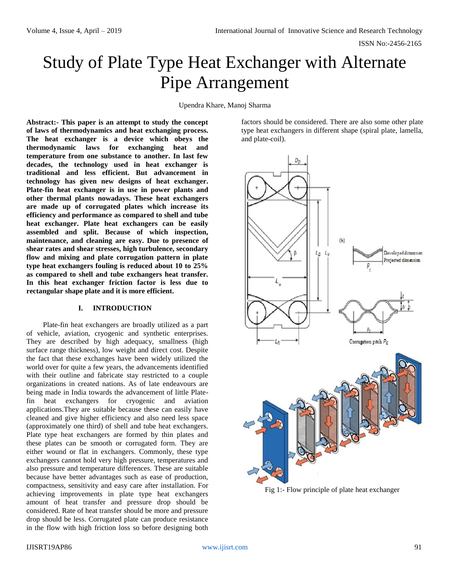# Study of Plate Type Heat Exchanger with Alternate Pipe Arrangement

Upendra Khare, Manoj Sharma

**Abstract:- This paper is an attempt to study the concept of laws of thermodynamics and heat exchanging process. The heat exchanger is a device which obeys the thermodynamic laws for exchanging heat and temperature from one substance to another. In last few decades, the technology used in heat exchanger is traditional and less efficient. But advancement in technology has given new designs of heat exchanger. Plate-fin heat exchanger is in use in power plants and other thermal plants nowadays. These heat exchangers are made up of corrugated plates which increase its efficiency and performance as compared to shell and tube heat exchanger. Plate heat exchangers can be easily assembled and split. Because of which inspection, maintenance, and cleaning are easy. Due to presence of shear rates and shear stresses, high turbulence, secondary flow and mixing and plate corrugation pattern in plate type heat exchangers fouling is reduced about 10 to 25% as compared to shell and tube exchangers heat transfer. In this heat exchanger friction factor is less due to rectangular shape plate and it is more efficient.**

#### **I. INTRODUCTION**

Plate-fin heat exchangers are broadly utilized as a part of vehicle, aviation, cryogenic and synthetic enterprises. They are described by high adequacy, smallness (high surface range thickness), low weight and direct cost. Despite the fact that these exchanges have been widely utilized the world over for quite a few years, the advancements identified with their outline and fabricate stay restricted to a couple organizations in created nations. As of late endeavours are being made in India towards the advancement of little Platefin heat exchangers for cryogenic and aviation applications.They are suitable because these can easily have cleaned and give higher efficiency and also need less space (approximately one third) of shell and tube heat exchangers. Plate type heat exchangers are formed by thin plates and these plates can be smooth or corrugated form. They are either wound or flat in exchangers. Commonly, these type exchangers cannot hold very high pressure, temperatures and also pressure and temperature differences. These are suitable because have better advantages such as ease of production, compactness, sensitivity and easy care after installation. For achieving improvements in plate type heat exchangers amount of heat transfer and pressure drop should be considered. Rate of heat transfer should be more and pressure drop should be less. Corrugated plate can produce resistance in the flow with high friction loss so before designing both factors should be considered. There are also some other plate type heat exchangers in different shape (spiral plate, lamella, and plate-coil).



Fig 1:- Flow principle of plate heat exchanger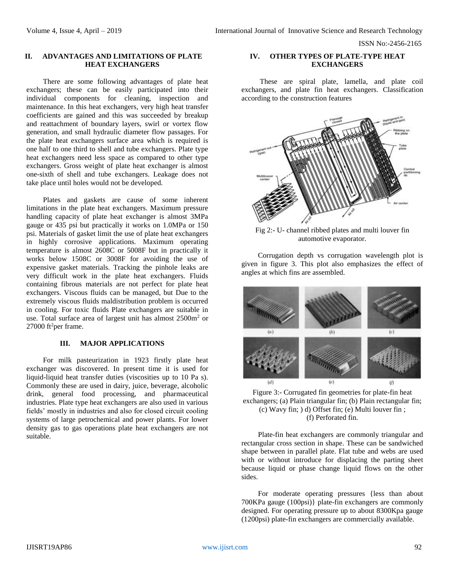ISSN No:-2456-2165

# **II. ADVANTAGES AND LIMITATIONS OF PLATE HEAT EXCHANGERS**

There are some following advantages of plate heat exchangers; these can be easily participated into their individual components for cleaning, inspection and maintenance. In this heat exchangers, very high heat transfer coefficients are gained and this was succeeded by breakup and reattachment of boundary layers, swirl or vortex flow generation, and small hydraulic diameter flow passages. For the plate heat exchangers surface area which is required is one half to one third to shell and tube exchangers. Plate type heat exchangers need less space as compared to other type exchangers. Gross weight of plate heat exchanger is almost one-sixth of shell and tube exchangers. Leakage does not take place until holes would not be developed.

Plates and gaskets are cause of some inherent limitations in the plate heat exchangers. Maximum pressure handling capacity of plate heat exchanger is almost 3MPa gauge or 435 psi but practically it works on 1.0MPa or 150 psi. Materials of gasket limit the use of plate heat exchangers in highly corrosive applications. Maximum operating temperature is almost 2608C or 5008F but in practically it works below 1508C or 3008F for avoiding the use of expensive gasket materials. Tracking the pinhole leaks are very difficult work in the plate heat exchangers. Fluids containing fibrous materials are not perfect for plate heat exchangers. Viscous fluids can be managed, but Due to the extremely viscous fluids maldistribution problem is occurred in cooling. For toxic fluids Plate exchangers are suitable in use. Total surface area of largest unit has almost 2500m<sup>2</sup> or 27000 ft<sup>2</sup>per frame.

#### **III. MAJOR APPLICATIONS**

For milk pasteurization in 1923 firstly plate heat exchanger was discovered. In present time it is used for liquid-liquid heat transfer duties (viscosities up to 10 Pa s). Commonly these are used in dairy, juice, beverage, alcoholic drink, general food processing, and pharmaceutical industries. Plate type heat exchangers are also used in various fields' mostly in industries and also for closed circuit cooling systems of large petrochemical and power plants. For lower density gas to gas operations plate heat exchangers are not suitable.

#### **IV. OTHER TYPES OF PLATE-TYPE HEAT EXCHANGERS**

These are spiral plate, lamella, and plate coil exchangers, and plate fin heat exchangers. Classification according to the construction features



Fig 2:- U- channel ribbed plates and multi louver fin automotive evaporator.

Corrugation depth vs corrugation wavelength plot is given in figure 3. This plot also emphasizes the effect of angles at which fins are assembled.



Figure 3:- Corrugated fin geometries for plate-fin heat exchangers; (a) Plain triangular fin; (b) Plain rectangular fin; (c) Wavy fin; ) d) Offset fin; (e) Multi louver fin ; (f) Perforated fin.

Plate-fin heat exchangers are commonly triangular and rectangular cross section in shape. These can be sandwiched shape between in parallel plate. Flat tube and webs are used with or without introduce for displacing the parting sheet because liquid or phase change liquid flows on the other sides.

For moderate operating pressures {less than about 700KPa gauge (100psi)} plate-fin exchangers are commonly designed. For operating pressure up to about 8300Kpa gauge (1200psi) plate-fin exchangers are commercially available.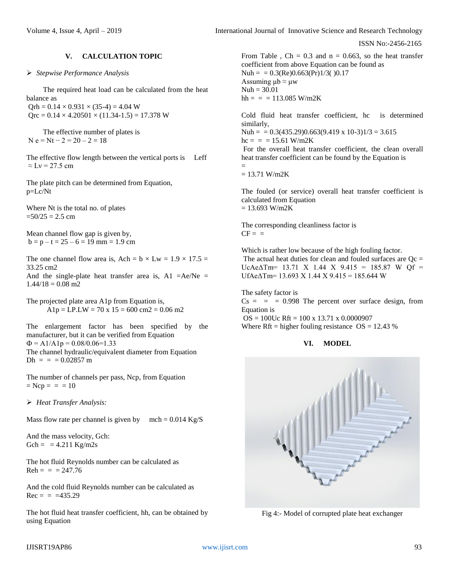ISSN No:-2456-2165

# **V. CALCULATION TOPIC**

*Stepwise Performance Analysis* 

The required heat load can be calculated from the heat balance as  $Orh = 0.14 \times 0.931 \times (35-4) = 4.04$  W  $Orc = 0.14 \times 4.20501 \times (11.34 - 1.5) = 17.378$  W

The effective number of plates is  $N e = Nt - 2 = 20 - 2 = 18$ 

The effective flow length between the vertical ports is Leff  $\approx$  Ly = 27.5 cm

The plate pitch can be determined from Equation, p=Lc/Nt

Where Nt is the total no. of plates  $=50/25 = 2.5$  cm

Mean channel flow gap is given by,  $b = p - t = 25 - 6 = 19$  mm = 1.9 cm

The one channel flow area is, Ach =  $b \times Lw = 1.9 \times 17.5$  = 33.25 cm2 And the single-plate heat transfer area is, A1 =Ae/Ne =

 $1.44/18 = 0.08$  m2

The projected plate area A1p from Equation is,  $A1p = LP.LW = 70 \text{ x } 15 = 600 \text{ cm} 2 = 0.06 \text{ m} 2$ 

The enlargement factor has been specified by the manufacturer, but it can be verified from Equation  $\Phi = A1/A1p = 0.08/0.06=1.33$ The channel hydraulic/equivalent diameter from Equation  $Dh =$  = = 0.02857 m

The number of channels per pass, Ncp, from Equation  $=$  Ncp = = = 10

*Heat Transfer Analysis:*

Mass flow rate per channel is given by  $\text{mch} = 0.014 \text{ Kg/S}$ 

And the mass velocity, Gch:  $Gch = = 4.211 \text{ Kg/m2s}$ 

The hot fluid Reynolds number can be calculated as  $Reh = = 247.76$ 

And the cold fluid Reynolds number can be calculated as  $Rec = = 435.29$ 

The hot fluid heat transfer coefficient, hh, can be obtained by using Equation

From Table , Ch =  $0.3$  and n = 0.663, so the heat transfer coefficient from above Equation can be found as  $Nuh = 0.3(Re)0.663(Pr)1/3( )0.17$ Assuming  $\mu$ b  $\approx \mu$ w  $Nuh = 30.01$  $hh = =$  = 113.085 W/m2K

Cold fluid heat transfer coefficient, hc is determined similarly, Nuh =  $= 0.3(435.29)0.663(9.419 \text{ x } 10-3)1/3 = 3.615$  $hc = = 15.61$  W/m2K For the overall heat transfer coefficient, the clean overall heat transfer coefficient can be found by the Equation is =

 $= 13.71$  W/m2K

The fouled (or service) overall heat transfer coefficient is calculated from Equation  $= 13.693$  W/m2K

The corresponding cleanliness factor is  $CF =$ 

Which is rather low because of the high fouling factor. The actual heat duties for clean and fouled surfaces are  $Qc =$ UcAe $\Delta$ Tm= 13.71 X 1.44 X 9.415 = 185.87 W Qf =  $UfAe\Delta Tm= 13.693 \text{ X} 1.44 \text{ X} 9.415 = 185.644 \text{ W}$ 

The safety factor is  $Cs = = 0.998$  The percent over surface design, from Equation is OS = 100Uc Rft = 100 x 13.71 x 0.0000907

Where Rft = higher fouling resistance  $OS = 12.43$  %

# **VI. MODEL**



Fig 4:- Model of corrupted plate heat exchanger